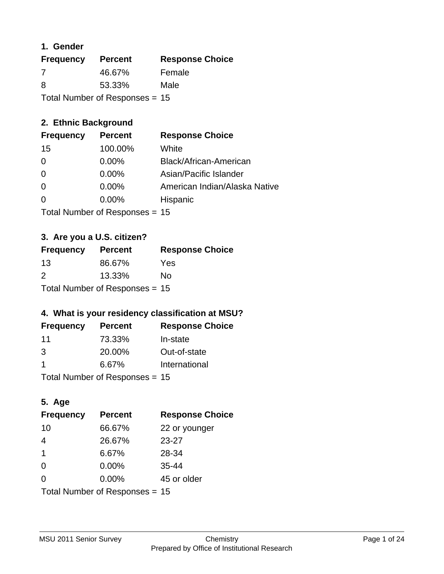### **1. Gender**

| <b>Frequency</b>                 | <b>Percent</b> | <b>Response Choice</b> |
|----------------------------------|----------------|------------------------|
| 7                                | 46.67%         | Female                 |
| 8                                | 53.33%         | Male                   |
| Total Number of Responses = $15$ |                |                        |

# **2. Ethnic Background**

| <b>Frequency</b> | <b>Percent</b> | <b>Response Choice</b>        |
|------------------|----------------|-------------------------------|
| 15               | 100.00%        | White                         |
| $\Omega$         | $0.00\%$       | Black/African-American        |
| 0                | 0.00%          | Asian/Pacific Islander        |
| 0                | 0.00%          | American Indian/Alaska Native |
| $\Omega$         | 0.00%          | Hispanic                      |
|                  |                |                               |

Total Number of Responses = 15

# **3. Are you a U.S. citizen?**

| <b>Frequency</b>                 | <b>Percent</b> | <b>Response Choice</b> |
|----------------------------------|----------------|------------------------|
| -13                              | 86.67%         | Yes                    |
| $\mathcal{P}$                    | 13.33%         | Nο                     |
| Total Number of Responses $= 15$ |                |                        |

# **4. What is your residency classification at MSU?**

| <b>Frequency</b> | <b>Percent</b> | <b>Response Choice</b> |
|------------------|----------------|------------------------|
| -11              | 73.33%         | In-state               |
| 3                | 20.00%         | Out-of-state           |
| -1               | 6.67%          | International          |
|                  |                |                        |

Total Number of Responses = 15

# **5. Age**

| <b>Frequency</b>                 | <b>Percent</b> | <b>Response Choice</b> |
|----------------------------------|----------------|------------------------|
| 10                               | 66.67%         | 22 or younger          |
| $\overline{4}$                   | 26.67%         | $23 - 27$              |
| $\overline{\mathbf{1}}$          | 6.67%          | 28-34                  |
| $\Omega$                         | 0.00%          | $35 - 44$              |
| $\Omega$                         | 0.00%          | 45 or older            |
| Total Number of Responses = $15$ |                |                        |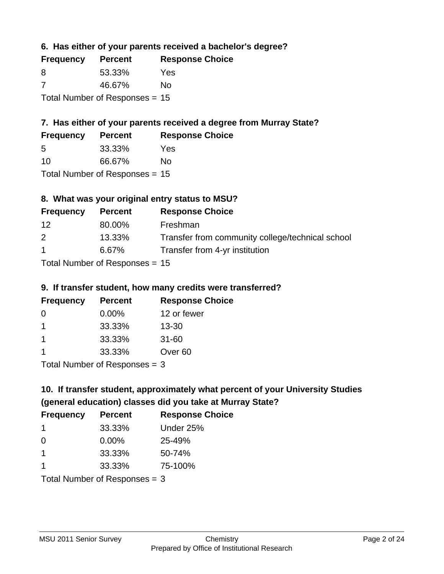**6. Has either of your parents received a bachelor's degree?**

| <b>Frequency</b>                 | <b>Percent</b> | <b>Response Choice</b> |
|----------------------------------|----------------|------------------------|
| 8                                | 53.33%         | Yes                    |
| -7                               | 46.67%         | No                     |
| Total Number of Responses = $15$ |                |                        |

# **7. Has either of your parents received a degree from Murray State?**

| <b>Frequency</b> | <b>Percent</b> | <b>Response Choice</b> |
|------------------|----------------|------------------------|
| .5               | 33.33%         | Yes                    |
| 10               | 66.67%         | No                     |
|                  |                |                        |

Total Number of Responses = 15

# **8. What was your original entry status to MSU?**

| <b>Frequency</b> | <b>Percent</b>               | <b>Response Choice</b>                           |
|------------------|------------------------------|--------------------------------------------------|
| 12               | 80.00%                       | Freshman                                         |
| 2                | 13.33%                       | Transfer from community college/technical school |
| $\mathbf 1$      | 6.67%                        | Transfer from 4-yr institution                   |
|                  | Total Number of Deepensee 15 |                                                  |

Total Number of Responses = 15

### **9. If transfer student, how many credits were transferred?**

| <b>Frequency</b>                | <b>Percent</b> | <b>Response Choice</b> |
|---------------------------------|----------------|------------------------|
| - 0                             | $0.00\%$       | 12 or fewer            |
| 1                               | 33.33%         | $13 - 30$              |
| $\mathbf 1$                     | 33.33%         | $31 - 60$              |
| 1                               | 33.33%         | Over <sub>60</sub>     |
| $Total Number of Doconence = 2$ |                |                        |

I otal Number of Responses  $=$  3

# **10. If transfer student, approximately what percent of your University Studies (general education) classes did you take at Murray State?**

| <b>Frequency</b>                | <b>Percent</b> | <b>Response Choice</b> |
|---------------------------------|----------------|------------------------|
| -1                              | 33.33%         | Under 25%              |
| $\Omega$                        | 0.00%          | 25-49%                 |
| $\mathbf 1$                     | 33.33%         | 50-74%                 |
| $\mathbf 1$                     | 33.33%         | 75-100%                |
| Total Number of Responses $=$ 3 |                |                        |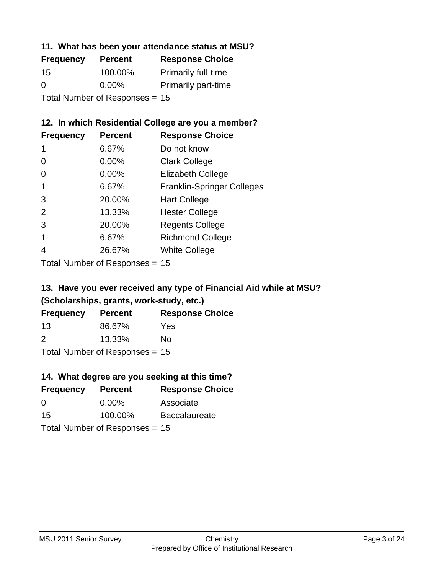### **11. What has been your attendance status at MSU?**

| <b>Frequency</b>               | <b>Percent</b> | <b>Response Choice</b>     |
|--------------------------------|----------------|----------------------------|
| 15                             | 100.00%        | <b>Primarily full-time</b> |
| 0                              | $0.00\%$       | <b>Primarily part-time</b> |
| Total Number of Responses = 15 |                |                            |

## **12. In which Residential College are you a member?**

| <b>Frequency</b> | <b>Percent</b> | <b>Response Choice</b>            |
|------------------|----------------|-----------------------------------|
| 1                | 6.67%          | Do not know                       |
| 0                | $0.00\%$       | <b>Clark College</b>              |
| 0                | $0.00\%$       | <b>Elizabeth College</b>          |
|                  | 6.67%          | <b>Franklin-Springer Colleges</b> |
| 3                | 20.00%         | <b>Hart College</b>               |
| 2                | 13.33%         | <b>Hester College</b>             |
| 3                | 20.00%         | <b>Regents College</b>            |
|                  | 6.67%          | <b>Richmond College</b>           |
|                  | 26.67%         | <b>White College</b>              |
|                  |                |                                   |

Total Number of Responses = 15

# **13. Have you ever received any type of Financial Aid while at MSU? (Scholarships, grants, work-study, etc.)**

| <b>Frequency</b> | <b>Percent</b>               | <b>Response Choice</b> |
|------------------|------------------------------|------------------------|
| 13               | 86.67%                       | Yes                    |
| 2                | 13.33%                       | No.                    |
|                  | Tetal Nivesbox of Desperance |                        |

Total Number of Responses = 15

# **14. What degree are you seeking at this time?**

| <b>Frequency</b> | <b>Percent</b>                   | <b>Response Choice</b> |
|------------------|----------------------------------|------------------------|
| $\Omega$         | $0.00\%$                         | Associate              |
| 15               | 100.00%                          | <b>Baccalaureate</b>   |
|                  | Total Number of Responses = $15$ |                        |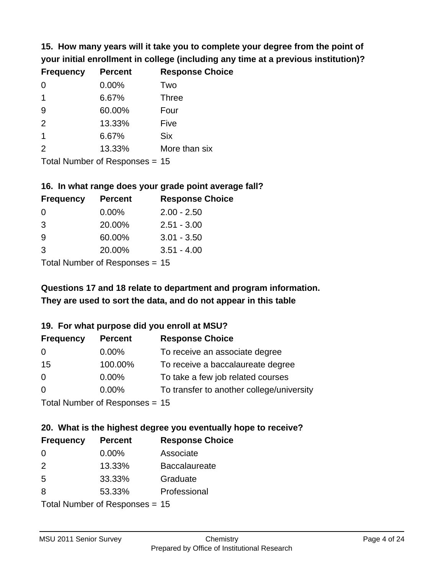**15. How many years will it take you to complete your degree from the point of your initial enrollment in college (including any time at a previous institution)?**

| <b>Frequency</b> | <b>Percent</b> | <b>Response Choice</b> |
|------------------|----------------|------------------------|
| $\Omega$         | 0.00%          | Two                    |
| 1                | 6.67%          | <b>Three</b>           |
| 9                | 60.00%         | Four                   |
| 2                | 13.33%         | Five                   |
| 1                | 6.67%          | <b>Six</b>             |
| 2                | 13.33%         | More than six          |
|                  |                |                        |

Total Number of Responses = 15

#### **16. In what range does your grade point average fall?**

| <b>Frequency</b> | <b>Percent</b> | <b>Response Choice</b> |
|------------------|----------------|------------------------|
| 0                | $0.00\%$       | $2.00 - 2.50$          |
| -3               | 20.00%         | $2.51 - 3.00$          |
| -9               | 60.00%         | $3.01 - 3.50$          |
| 3                | 20.00%         | $3.51 - 4.00$          |
|                  |                |                        |

Total Number of Responses = 15

# **They are used to sort the data, and do not appear in this table Questions 17 and 18 relate to department and program information.**

### **19. For what purpose did you enroll at MSU?**

| <b>Frequency</b>               | <b>Percent</b> | <b>Response Choice</b>                    |
|--------------------------------|----------------|-------------------------------------------|
| 0                              | $0.00\%$       | To receive an associate degree            |
| 15                             | 100.00%        | To receive a baccalaureate degree         |
| 0                              | $0.00\%$       | To take a few job related courses         |
| $\Omega$                       | $0.00\%$       | To transfer to another college/university |
| Total Number of Responses = 15 |                |                                           |

# **20. What is the highest degree you eventually hope to receive?**

| <b>Frequency</b> | <b>Percent</b>            | <b>Response Choice</b> |
|------------------|---------------------------|------------------------|
| 0                | 0.00%                     | Associate              |
| 2                | 13.33%                    | <b>Baccalaureate</b>   |
| 5                | 33.33%                    | Graduate               |
| 8                | 53.33%                    | Professional           |
|                  | Total Number of Desponses |                        |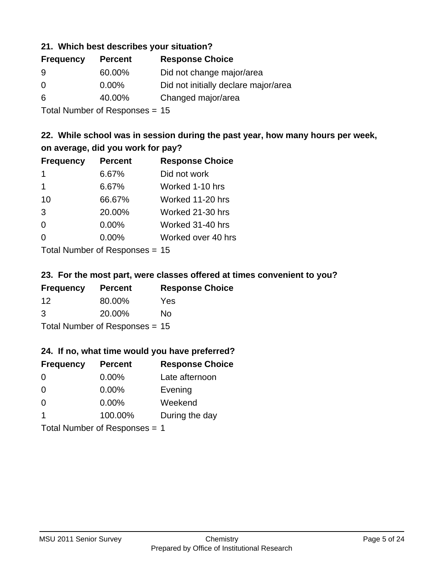### **21. Which best describes your situation?**

| <b>Frequency</b> | <b>Percent</b> | <b>Response Choice</b>               |
|------------------|----------------|--------------------------------------|
| -9               | 60.00%         | Did not change major/area            |
| $\Omega$         | $0.00\%$       | Did not initially declare major/area |
| 6                | 40.00%         | Changed major/area                   |
|                  |                |                                      |

Total Number of Responses = 15

## **22. While school was in session during the past year, how many hours per week, on average, did you work for pay?**

| <b>Frequency</b> | <b>Percent</b> | <b>Response Choice</b> |
|------------------|----------------|------------------------|
| 1                | 6.67%          | Did not work           |
| $\mathbf 1$      | 6.67%          | Worked 1-10 hrs        |
| 10               | 66.67%         | Worked 11-20 hrs       |
| 3                | 20.00%         | Worked 21-30 hrs       |
| $\Omega$         | 0.00%          | Worked 31-40 hrs       |
| $\Omega$         | 0.00%          | Worked over 40 hrs     |
|                  |                |                        |

Total Number of Responses = 15

### **23. For the most part, were classes offered at times convenient to you?**

| <b>Frequency</b> | <b>Percent</b>                 | <b>Response Choice</b> |
|------------------|--------------------------------|------------------------|
| 12               | 80.00%                         | Yes                    |
| 3                | 20.00%                         | No.                    |
|                  | Total Number of Responses = 15 |                        |

### **24. If no, what time would you have preferred?**

| <b>Frequency</b> | <b>Percent</b>                | <b>Response Choice</b> |
|------------------|-------------------------------|------------------------|
| $\Omega$         | $0.00\%$                      | Late afternoon         |
| $\Omega$         | $0.00\%$                      | Evening                |
| $\Omega$         | $0.00\%$                      | Weekend                |
| $\mathbf 1$      | 100.00%                       | During the day         |
|                  | Total Number of Responses = 1 |                        |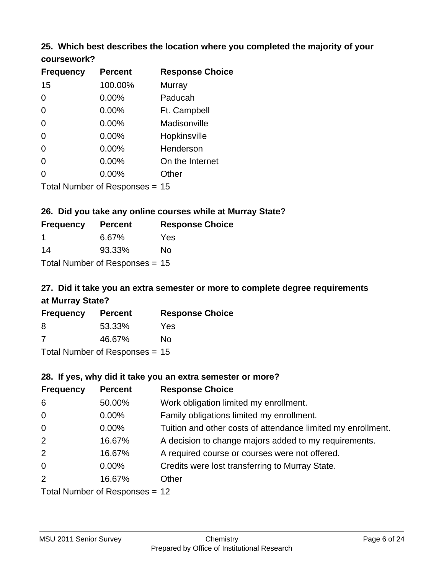# **25. Which best describes the location where you completed the majority of your**

| coursework? |  |
|-------------|--|
|-------------|--|

| <b>Frequency</b> | <b>Percent</b>                 | <b>Response Choice</b> |
|------------------|--------------------------------|------------------------|
| 15               | 100.00%                        | Murray                 |
| 0                | 0.00%                          | Paducah                |
| 0                | 0.00%                          | Ft. Campbell           |
| 0                | 0.00%                          | Madisonville           |
| 0                | 0.00%                          | Hopkinsville           |
| 0                | 0.00%                          | Henderson              |
| 0                | 0.00%                          | On the Internet        |
| 0                | 0.00%                          | Other                  |
|                  | Total Number of Responses = 15 |                        |

### **26. Did you take any online courses while at Murray State?**

| <b>Frequency</b> | <b>Percent</b>                 | <b>Response</b> |
|------------------|--------------------------------|-----------------|
| -1               | 6.67%                          | Yes             |
| 14               | 93.33%                         | No.             |
|                  | Total Number of Responses = 15 |                 |

# **27. Did it take you an extra semester or more to complete degree requirements at Murray State?**

**Choice** 

| <b>Frequency</b> | <b>Percent</b>                   | <b>Response Choice</b> |
|------------------|----------------------------------|------------------------|
| 8                | 53.33%                           | Yes                    |
| 7                | 46.67%                           | No                     |
|                  | $Total Number of Doonopoog = 4E$ |                        |

Total Number of Responses = 15

# **28. If yes, why did it take you an extra semester or more?**

| <b>Frequency</b>               | <b>Percent</b> | <b>Response Choice</b>                                       |  |
|--------------------------------|----------------|--------------------------------------------------------------|--|
| 6                              | 50.00%         | Work obligation limited my enrollment.                       |  |
| $\mathbf 0$                    | $0.00\%$       | Family obligations limited my enrollment.                    |  |
| $\mathbf 0$                    | $0.00\%$       | Tuition and other costs of attendance limited my enrollment. |  |
| 2                              | 16.67%         | A decision to change majors added to my requirements.        |  |
| 2                              | 16.67%         | A required course or courses were not offered.               |  |
| $\overline{0}$                 | $0.00\%$       | Credits were lost transferring to Murray State.              |  |
| 2                              | 16.67%         | Other                                                        |  |
| Total Number of Responses = 12 |                |                                                              |  |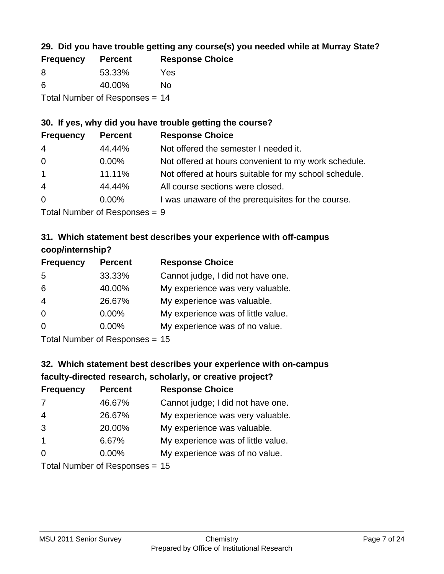# **29. Did you have trouble getting any course(s) you needed while at Murray State?**

| <b>Frequency</b>               | <b>Percent</b> | <b>Response Choice</b> |  |  |
|--------------------------------|----------------|------------------------|--|--|
| -8                             | 53.33%         | Yes                    |  |  |
| -6                             | 40.00%         | Nο                     |  |  |
| Total Number of Responses = 14 |                |                        |  |  |

### **30. If yes, why did you have trouble getting the course?**

| <b>Frequency</b> | <b>Percent</b> | <b>Response Choice</b>                                |
|------------------|----------------|-------------------------------------------------------|
| $\overline{4}$   | 44.44%         | Not offered the semester I needed it.                 |
| $\overline{0}$   | $0.00\%$       | Not offered at hours convenient to my work schedule.  |
| $\overline{1}$   | 11.11%         | Not offered at hours suitable for my school schedule. |
| $\overline{4}$   | 44.44%         | All course sections were closed.                      |
| $\overline{0}$   | $0.00\%$       | I was unaware of the prerequisites for the course.    |
|                  |                |                                                       |

Total Number of Responses = 9

# **31. Which statement best describes your experience with off-campus coop/internship?**

| <b>Frequency</b> | <b>Percent</b> | <b>Response Choice</b>             |
|------------------|----------------|------------------------------------|
| 5                | 33.33%         | Cannot judge, I did not have one.  |
| 6                | 40.00%         | My experience was very valuable.   |
| $\overline{4}$   | 26.67%         | My experience was valuable.        |
| $\Omega$         | 0.00%          | My experience was of little value. |
| $\Omega$         | 0.00%          | My experience was of no value.     |
|                  |                |                                    |

Total Number of Responses = 15

# **32. Which statement best describes your experience with on-campus faculty-directed research, scholarly, or creative project?**

| <b>Frequency</b> | <b>Percent</b>               | <b>Response Choice</b>             |
|------------------|------------------------------|------------------------------------|
| 7                | 46.67%                       | Cannot judge; I did not have one.  |
| $\overline{4}$   | 26.67%                       | My experience was very valuable.   |
| 3                | 20.00%                       | My experience was valuable.        |
| $\overline{1}$   | 6.67%                        | My experience was of little value. |
| $\Omega$         | $0.00\%$                     | My experience was of no value.     |
|                  | Total Number of Deepensee 15 |                                    |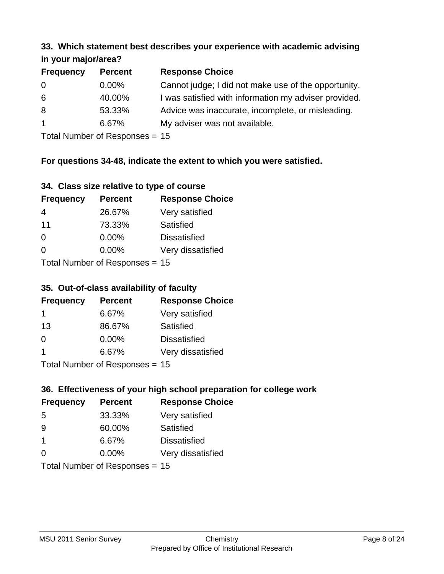#### **33. Which statement best describes your experience with academic advising in your major/area?**

| $\cdots$ your mapproved. |                |                                                       |
|--------------------------|----------------|-------------------------------------------------------|
| <b>Frequency</b>         | <b>Percent</b> | <b>Response Choice</b>                                |
| 0                        | $0.00\%$       | Cannot judge; I did not make use of the opportunity.  |
| 6                        | 40.00%         | I was satisfied with information my adviser provided. |
| 8                        | 53.33%         | Advice was inaccurate, incomplete, or misleading.     |
| $\mathbf{1}$             | 6.67%          | My adviser was not available.                         |
|                          |                |                                                       |

Total Number of Responses = 15

### **For questions 34-48, indicate the extent to which you were satisfied.**

| 34. Class size relative to type of course |  |  |  |  |  |  |  |  |
|-------------------------------------------|--|--|--|--|--|--|--|--|
|-------------------------------------------|--|--|--|--|--|--|--|--|

| <b>Frequency</b> | <b>Percent</b>                  | <b>Response Choice</b> |
|------------------|---------------------------------|------------------------|
| 4                | 26.67%                          | Very satisfied         |
| 11               | 73.33%                          | Satisfied              |
| $\Omega$         | $0.00\%$                        | <b>Dissatisfied</b>    |
| $\Omega$         | 0.00%                           | Very dissatisfied      |
|                  | Total Number of Responses $-15$ |                        |

Total Number of Responses = 15

### **35. Out-of-class availability of faculty**

| <b>Frequency</b> | <b>Percent</b>                  | <b>Response Choice</b> |
|------------------|---------------------------------|------------------------|
| -1               | 6.67%                           | Very satisfied         |
| 13               | 86.67%                          | Satisfied              |
| $\Omega$         | $0.00\%$                        | <b>Dissatisfied</b>    |
|                  | 6.67%                           | Very dissatisfied      |
|                  | $Total Number of Denonose = 45$ |                        |

Total Number of Responses = 15

# **36. Effectiveness of your high school preparation for college work**

| <b>Frequency</b>               | <b>Percent</b> | <b>Response Choice</b> |  |  |
|--------------------------------|----------------|------------------------|--|--|
| 5                              | 33.33%         | Very satisfied         |  |  |
| 9                              | 60.00%         | Satisfied              |  |  |
| $\mathbf 1$                    | 6.67%          | <b>Dissatisfied</b>    |  |  |
| $\Omega$                       | $0.00\%$       | Very dissatisfied      |  |  |
| Total Number of Responses = 15 |                |                        |  |  |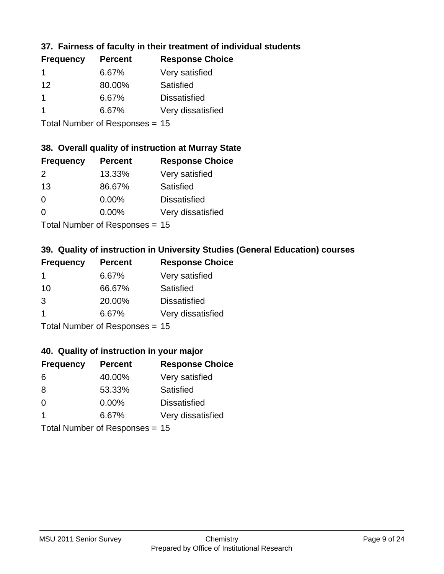## **37. Fairness of faculty in their treatment of individual students**

| <b>Frequency</b> | <b>Percent</b> | <b>Response Choice</b> |
|------------------|----------------|------------------------|
| 1                | 6.67%          | Very satisfied         |
| 12               | 80.00%         | Satisfied              |
|                  | 6.67%          | <b>Dissatisfied</b>    |
|                  | 6.67%          | Very dissatisfied      |
|                  |                |                        |

Total Number of Responses = 15

### **38. Overall quality of instruction at Murray State**

| <b>Frequency</b> | <b>Percent</b> | <b>Response Choice</b> |
|------------------|----------------|------------------------|
| $\mathcal{P}$    | 13.33%         | Very satisfied         |
| 13               | 86.67%         | Satisfied              |
| $\Omega$         | 0.00%          | <b>Dissatisfied</b>    |
| $\Omega$         | 0.00%          | Very dissatisfied      |
|                  |                |                        |

Total Number of Responses = 15

# **39. Quality of instruction in University Studies (General Education) courses**

| <b>Frequency</b> | <b>Percent</b>                 | <b>Response Choice</b> |
|------------------|--------------------------------|------------------------|
|                  | 6.67%                          | Very satisfied         |
| 10               | 66.67%                         | Satisfied              |
| 3                | 20.00%                         | <b>Dissatisfied</b>    |
| -1               | 6.67%                          | Very dissatisfied      |
|                  | Total Number of Responses = 15 |                        |

### **40. Quality of instruction in your major**

| <b>Frequency</b> | <b>Percent</b>                 | <b>Response Choice</b> |
|------------------|--------------------------------|------------------------|
| 6                | 40.00%                         | Very satisfied         |
| 8                | 53.33%                         | <b>Satisfied</b>       |
| $\Omega$         | 0.00%                          | <b>Dissatisfied</b>    |
|                  | 6.67%                          | Very dissatisfied      |
|                  | Total Number of Responses = 15 |                        |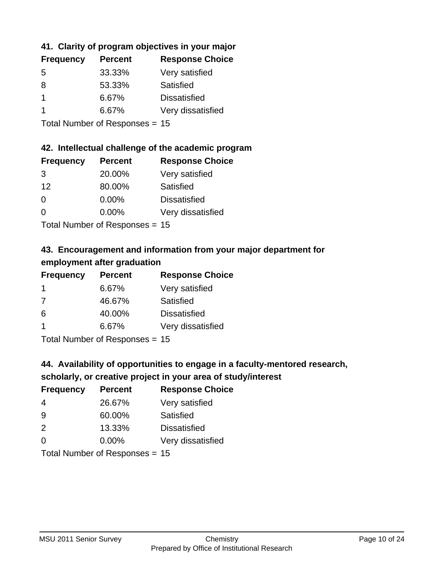# **41. Clarity of program objectives in your major**

| <b>Frequency</b> | <b>Percent</b> | <b>Response Choice</b> |
|------------------|----------------|------------------------|
| .5               | 33.33%         | Very satisfied         |
| 8                | 53.33%         | Satisfied              |
|                  | 6.67%          | <b>Dissatisfied</b>    |
|                  | 6.67%          | Very dissatisfied      |
|                  |                |                        |

Total Number of Responses = 15

### **42. Intellectual challenge of the academic program**

| <b>Frequency</b> | <b>Percent</b> | <b>Response Choice</b> |
|------------------|----------------|------------------------|
| 3                | 20.00%         | Very satisfied         |
| 12               | 80.00%         | Satisfied              |
| $\Omega$         | 0.00%          | <b>Dissatisfied</b>    |
| $\Omega$         | 0.00%          | Very dissatisfied      |
|                  |                |                        |

Total Number of Responses = 15

# **43. Encouragement and information from your major department for employment after graduation**

| <b>Frequency</b>     | <b>Percent</b>             | <b>Response Choice</b> |
|----------------------|----------------------------|------------------------|
| -1                   | 6.67%                      | Very satisfied         |
| 7                    | 46.67%                     | Satisfied              |
| 6                    | 40.00%                     | <b>Dissatisfied</b>    |
| $\blacktriangleleft$ | 6.67%                      | Very dissatisfied      |
|                      | Tatal Number of Desperance |                        |

Total Number of Responses = 15

# **44. Availability of opportunities to engage in a faculty-mentored research,**

### **scholarly, or creative project in your area of study/interest**

| <b>Frequency</b> | <b>Percent</b> | <b>Response Choice</b> |
|------------------|----------------|------------------------|
| 4                | 26.67%         | Very satisfied         |
| 9                | 60.00%         | Satisfied              |
| 2                | 13.33%         | <b>Dissatisfied</b>    |
| $\Omega$         | 0.00%          | Very dissatisfied      |
|                  |                |                        |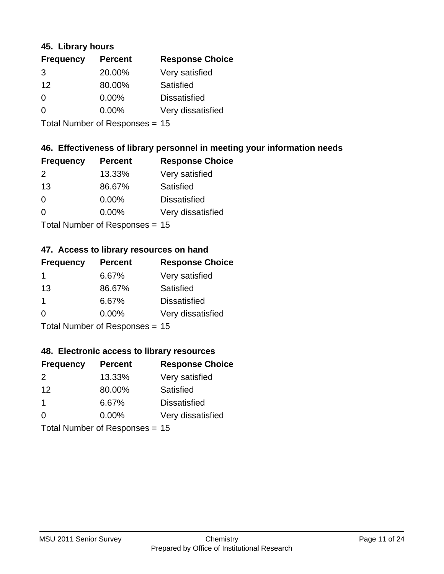### **45. Library hours**

| <b>Frequency</b> | <b>Percent</b> | <b>Response Choice</b> |
|------------------|----------------|------------------------|
| 3                | 20.00%         | Very satisfied         |
| 12               | 80.00%         | Satisfied              |
| $\Omega$         | 0.00%          | <b>Dissatisfied</b>    |
| $\Omega$         | 0.00%          | Very dissatisfied      |
|                  |                |                        |

Total Number of Responses = 15

### **46. Effectiveness of library personnel in meeting your information needs**

| <b>Frequency</b> | <b>Percent</b> | <b>Response Choice</b> |
|------------------|----------------|------------------------|
| $\mathcal{P}$    | 13.33%         | Very satisfied         |
| 13               | 86.67%         | Satisfied              |
| $\Omega$         | 0.00%          | <b>Dissatisfied</b>    |
| $\Omega$         | 0.00%          | Very dissatisfied      |
|                  |                |                        |

Total Number of Responses = 15

### **47. Access to library resources on hand**

| <b>Frequency</b> | <b>Percent</b>                  | <b>Response Choice</b> |
|------------------|---------------------------------|------------------------|
| $\mathbf 1$      | 6.67%                           | Very satisfied         |
| 13               | 86.67%                          | Satisfied              |
| 1                | 6.67%                           | <b>Dissatisfied</b>    |
| $\Omega$         | $0.00\%$                        | Very dissatisfied      |
|                  | $Total Number of Doonono0 = 4E$ |                        |

Total Number of Responses = 15

### **48. Electronic access to library resources**

| <b>Frequency</b> | <b>Percent</b>                 | <b>Response Choice</b> |
|------------------|--------------------------------|------------------------|
| $\mathcal{P}$    | 13.33%                         | Very satisfied         |
| 12               | 80.00%                         | Satisfied              |
| $\mathbf 1$      | 6.67%                          | <b>Dissatisfied</b>    |
| $\Omega$         | $0.00\%$                       | Very dissatisfied      |
|                  | Total Number of Responses = 15 |                        |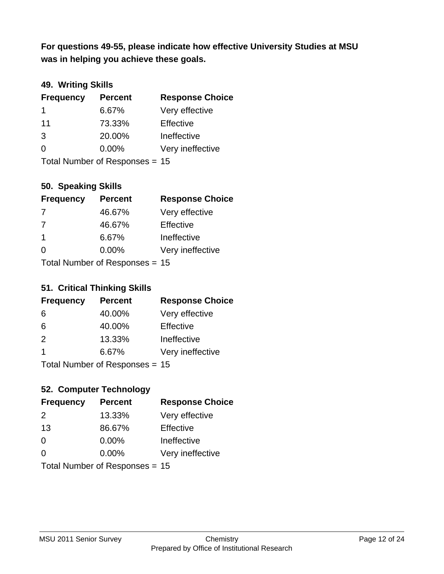**was in helping you achieve these goals. For questions 49-55, please indicate how effective University Studies at MSU** 

### **49. Writing Skills**

| <b>Frequency</b> | <b>Percent</b>                 | <b>Response Choice</b> |
|------------------|--------------------------------|------------------------|
| 1                | 6.67%                          | Very effective         |
| 11               | 73.33%                         | Effective              |
| 3                | 20.00%                         | Ineffective            |
| $\Omega$         | $0.00\%$                       | Very ineffective       |
|                  | Total Number of Responses = 15 |                        |

### **50. Speaking Skills**

| <b>Frequency</b>               | <b>Percent</b> | <b>Response Choice</b> |
|--------------------------------|----------------|------------------------|
| -7                             | 46.67%         | Very effective         |
| 7                              | 46.67%         | Effective              |
| -1                             | 6.67%          | Ineffective            |
| $\Omega$                       | 0.00%          | Very ineffective       |
| Total Number of Poenances - 15 |                |                        |

Total Number of Responses = 15

#### **51. Critical Thinking Skills**

| <b>Frequency</b> | <b>Percent</b>            | <b>Response Choice</b> |
|------------------|---------------------------|------------------------|
| 6                | 40.00%                    | Very effective         |
| 6                | 40.00%                    | Effective              |
| 2                | 13.33%                    | Ineffective            |
| 1                | 6.67%                     | Very ineffective       |
|                  | Total Number of Deepensee |                        |

Total Number of Responses = 15

# **52. Computer Technology**

| <b>Frequency</b>               | <b>Percent</b> | <b>Response Choice</b> |
|--------------------------------|----------------|------------------------|
| $\mathcal{P}$                  | 13.33%         | Very effective         |
| 13                             | 86.67%         | Effective              |
| $\Omega$                       | $0.00\%$       | Ineffective            |
| $\Omega$                       | 0.00%          | Very ineffective       |
| Total Number of Responses = 15 |                |                        |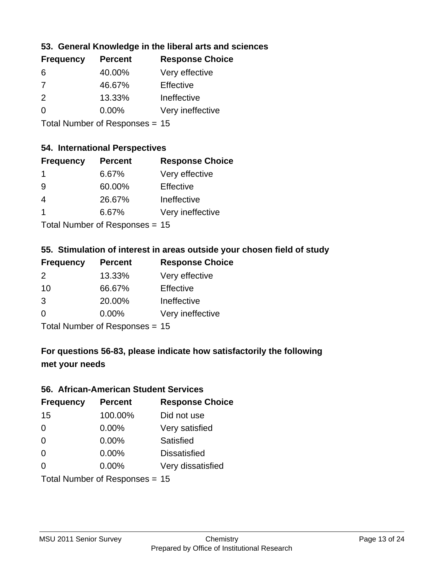### **53. General Knowledge in the liberal arts and sciences**

| <b>Frequency</b> | <b>Percent</b> | <b>Response Choice</b> |
|------------------|----------------|------------------------|
| 6                | 40.00%         | Very effective         |
| 7                | 46.67%         | Effective              |
| $\mathcal{P}$    | 13.33%         | Ineffective            |
| $\Omega$         | $0.00\%$       | Very ineffective       |
|                  |                |                        |

Total Number of Responses = 15

### **54. International Perspectives**

| <b>Frequency</b> | <b>Percent</b> | <b>Response Choice</b> |
|------------------|----------------|------------------------|
| -1               | 6.67%          | Very effective         |
| 9                | 60.00%         | Effective              |
| 4                | 26.67%         | Ineffective            |
| -1               | 6.67%          | Very ineffective       |
|                  |                |                        |

Total Number of Responses = 15

# **55. Stimulation of interest in areas outside your chosen field of study**

| <b>Frequency</b>                 | <b>Percent</b> | <b>Response Choice</b> |
|----------------------------------|----------------|------------------------|
| $\mathcal{P}$                    | 13.33%         | Very effective         |
| 10                               | 66.67%         | Effective              |
| 3                                | 20.00%         | Ineffective            |
| $\Omega$                         | $0.00\%$       | Very ineffective       |
| Total Number of Responses = $15$ |                |                        |

# **For questions 56-83, please indicate how satisfactorily the following met your needs**

#### **56. African-American Student Services**

| <b>Frequency</b> | <b>Percent</b>                 | <b>Response Choice</b> |
|------------------|--------------------------------|------------------------|
| 15               | 100.00%                        | Did not use            |
| $\Omega$         | 0.00%                          | Very satisfied         |
| 0                | 0.00%                          | Satisfied              |
| 0                | $0.00\%$                       | <b>Dissatisfied</b>    |
| $\Omega$         | 0.00%                          | Very dissatisfied      |
|                  | Total Number of Responses = 15 |                        |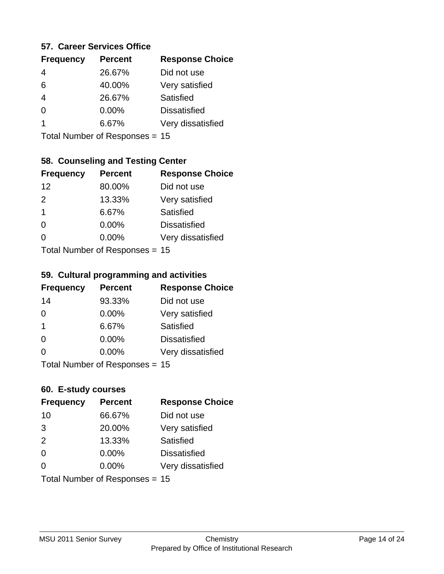#### **57. Career Services Office**

| <b>Frequency</b> | <b>Percent</b> | <b>Response Choice</b> |
|------------------|----------------|------------------------|
| 4                | 26.67%         | Did not use            |
| 6                | 40.00%         | Very satisfied         |
| 4                | 26.67%         | Satisfied              |
| 0                | 0.00%          | <b>Dissatisfied</b>    |
|                  | 6.67%          | Very dissatisfied      |
|                  |                |                        |

Total Number of Responses = 15

# **58. Counseling and Testing Center**

| <b>Frequency</b> | <b>Percent</b>            | <b>Response Choice</b> |
|------------------|---------------------------|------------------------|
| 12               | 80.00%                    | Did not use            |
| 2                | 13.33%                    | Very satisfied         |
| 1                | 6.67%                     | <b>Satisfied</b>       |
| $\Omega$         | 0.00%                     | <b>Dissatisfied</b>    |
| ∩                | 0.00%                     | Very dissatisfied      |
|                  | Total Number of Desponses |                        |

Total Number of Responses = 15

#### **59. Cultural programming and activities**

| <b>Frequency</b> | <b>Percent</b>                 | <b>Response Choice</b> |
|------------------|--------------------------------|------------------------|
| 14               | 93.33%                         | Did not use            |
| $\Omega$         | $0.00\%$                       | Very satisfied         |
| -1               | 6.67%                          | Satisfied              |
| $\Omega$         | $0.00\%$                       | <b>Dissatisfied</b>    |
| $\Omega$         | $0.00\%$                       | Very dissatisfied      |
|                  | Total Number of Responses = 15 |                        |

### **60. E-study courses**

| <b>Frequency</b> | <b>Percent</b>                 | <b>Response Choice</b> |
|------------------|--------------------------------|------------------------|
| 10               | 66.67%                         | Did not use            |
| 3                | 20.00%                         | Very satisfied         |
| 2                | 13.33%                         | <b>Satisfied</b>       |
| $\Omega$         | 0.00%                          | <b>Dissatisfied</b>    |
| ∩                | $0.00\%$                       | Very dissatisfied      |
|                  | Total Number of Responses = 15 |                        |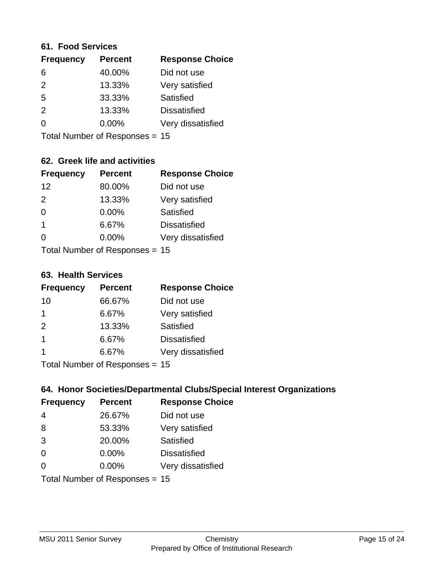#### **61. Food Services**

| <b>Frequency</b> | <b>Percent</b> | <b>Response Choice</b> |
|------------------|----------------|------------------------|
| 6                | 40.00%         | Did not use            |
| 2                | 13.33%         | Very satisfied         |
| 5                | 33.33%         | Satisfied              |
| $\mathcal{P}$    | 13.33%         | <b>Dissatisfied</b>    |
| $\Omega$         | $0.00\%$       | Very dissatisfied      |
|                  |                |                        |

Total Number of Responses = 15

### **62. Greek life and activities**

| <b>Frequency</b> | <b>Percent</b>                 | <b>Response Choice</b> |
|------------------|--------------------------------|------------------------|
| 12               | 80.00%                         | Did not use            |
| 2                | 13.33%                         | Very satisfied         |
| $\Omega$         | 0.00%                          | <b>Satisfied</b>       |
| $\overline{1}$   | 6.67%                          | <b>Dissatisfied</b>    |
| 0                | $0.00\%$                       | Very dissatisfied      |
|                  | Total Number of Responses = 15 |                        |

**63. Health Services**

| <b>Frequency</b> | <b>Percent</b>            | <b>Response Choice</b> |
|------------------|---------------------------|------------------------|
| 10               | 66.67%                    | Did not use            |
| -1               | 6.67%                     | Very satisfied         |
| 2                | 13.33%                    | <b>Satisfied</b>       |
| $\overline{1}$   | 6.67%                     | <b>Dissatisfied</b>    |
|                  | 6.67%                     | Very dissatisfied      |
|                  | Total Number of Desponses |                        |

Total Number of Responses = 15

### **64. Honor Societies/Departmental Clubs/Special Interest Organizations**

| <b>Frequency</b>               | <b>Percent</b> | <b>Response Choice</b> |
|--------------------------------|----------------|------------------------|
| $\overline{4}$                 | 26.67%         | Did not use            |
| 8                              | 53.33%         | Very satisfied         |
| 3                              | 20.00%         | Satisfied              |
| $\Omega$                       | 0.00%          | <b>Dissatisfied</b>    |
| $\Omega$                       | 0.00%          | Very dissatisfied      |
| Total Number of Responses = 15 |                |                        |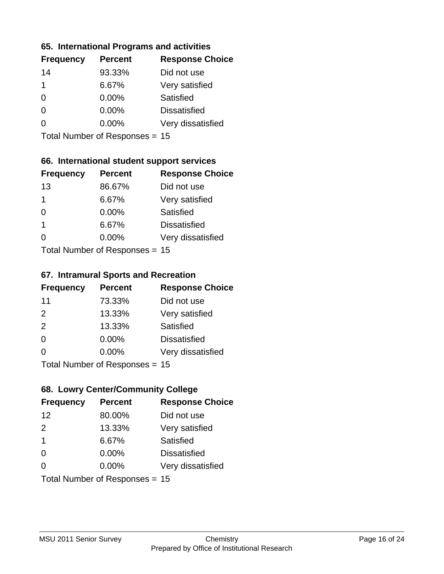### **65. International Programs and activities**

| <b>Frequency</b> | <b>Percent</b> | <b>Response Choice</b> |
|------------------|----------------|------------------------|
| 14               | 93.33%         | Did not use            |
| 1                | 6.67%          | Very satisfied         |
| 0                | $0.00\%$       | Satisfied              |
| O                | $0.00\%$       | <b>Dissatisfied</b>    |
|                  | $0.00\%$       | Very dissatisfied      |
|                  |                |                        |

Total Number of Responses = 15

### **66. International student support services**

| <b>Frequency</b> | <b>Percent</b>            | <b>Response Choice</b> |
|------------------|---------------------------|------------------------|
| 13               | 86.67%                    | Did not use            |
| 1                | 6.67%                     | Very satisfied         |
| $\Omega$         | $0.00\%$                  | <b>Satisfied</b>       |
| $\overline{1}$   | 6.67%                     | <b>Dissatisfied</b>    |
| ∩                | 0.00%                     | Very dissatisfied      |
|                  | Total Number of Desponses |                        |

Total Number of Responses = 15

#### **67. Intramural Sports and Recreation**

| <b>Frequency</b> | <b>Percent</b>                  | <b>Response Choice</b> |
|------------------|---------------------------------|------------------------|
| 11               | 73.33%                          | Did not use            |
| 2                | 13.33%                          | Very satisfied         |
| 2                | 13.33%                          | Satisfied              |
| $\Omega$         | 0.00%                           | <b>Dissatisfied</b>    |
| $\Omega$         | 0.00%                           | Very dissatisfied      |
|                  | $Total Number of Denonose = 45$ |                        |

I otal Number of Responses = 15

# **68. Lowry Center/Community College**

| <b>Frequency</b>        | <b>Percent</b>                 | <b>Response Choice</b> |
|-------------------------|--------------------------------|------------------------|
| 12                      | 80.00%                         | Did not use            |
| 2                       | 13.33%                         | Very satisfied         |
| $\overline{\mathbf{1}}$ | 6.67%                          | Satisfied              |
| $\Omega$                | $0.00\%$                       | <b>Dissatisfied</b>    |
| $\Omega$                | 0.00%                          | Very dissatisfied      |
|                         | Total Number of Responses = 15 |                        |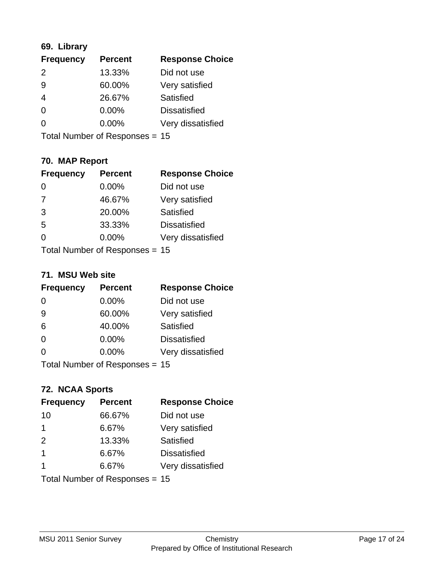# **69. Library**

| <b>Frequency</b> | <b>Percent</b> | <b>Response Choice</b> |
|------------------|----------------|------------------------|
| 2                | 13.33%         | Did not use            |
| 9                | 60.00%         | Very satisfied         |
| 4                | 26.67%         | Satisfied              |
| 0                | 0.00%          | <b>Dissatisfied</b>    |
| $\Omega$         | 0.00%          | Very dissatisfied      |
|                  |                |                        |

Total Number of Responses = 15

# **70. MAP Report**

| <b>Frequency</b> | <b>Percent</b>                 | <b>Response Choice</b> |
|------------------|--------------------------------|------------------------|
| $\Omega$         | 0.00%                          | Did not use            |
| $\overline{7}$   | 46.67%                         | Very satisfied         |
| 3                | 20.00%                         | Satisfied              |
| 5                | 33.33%                         | <b>Dissatisfied</b>    |
| 0                | $0.00\%$                       | Very dissatisfied      |
|                  | Total Number of Responses = 15 |                        |

#### **71. MSU Web site**

| <b>Frequency</b> | <b>Percent</b>                 | <b>Response Choice</b> |
|------------------|--------------------------------|------------------------|
| 0                | 0.00%                          | Did not use            |
| 9                | 60.00%                         | Very satisfied         |
| 6                | 40.00%                         | Satisfied              |
| $\Omega$         | $0.00\%$                       | <b>Dissatisfied</b>    |
| 0                | $0.00\%$                       | Very dissatisfied      |
|                  | Total Number of Responses = 15 |                        |

### **72. NCAA Sports**

| <b>Frequency</b> | <b>Percent</b>                 | <b>Response Choice</b> |
|------------------|--------------------------------|------------------------|
| 10               | 66.67%                         | Did not use            |
|                  | 6.67%                          | Very satisfied         |
| 2                | 13.33%                         | <b>Satisfied</b>       |
| $\overline{1}$   | 6.67%                          | <b>Dissatisfied</b>    |
|                  | 6.67%                          | Very dissatisfied      |
|                  | Total Number of Responses = 15 |                        |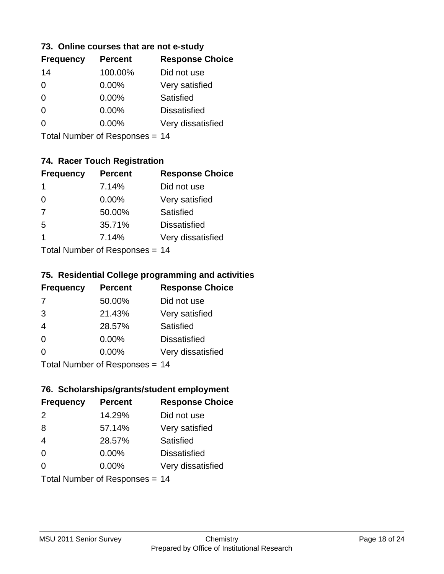### **73. Online courses that are not e-study**

| <b>Frequency</b> | <b>Percent</b> | <b>Response Choice</b> |
|------------------|----------------|------------------------|
| 14               | 100.00%        | Did not use            |
|                  | $0.00\%$       | Very satisfied         |
|                  | $0.00\%$       | Satisfied              |
|                  | $0.00\%$       | <b>Dissatisfied</b>    |
|                  | $0.00\%$       | Very dissatisfied      |
|                  |                |                        |

Total Number of Responses = 14

# **74. Racer Touch Registration**

| <b>Frequency</b>          | <b>Percent</b> | <b>Response Choice</b> |
|---------------------------|----------------|------------------------|
| 1                         | 7.14%          | Did not use            |
| $\Omega$                  | $0.00\%$       | Very satisfied         |
| -7                        | 50.00%         | <b>Satisfied</b>       |
| 5                         | 35.71%         | <b>Dissatisfied</b>    |
| 1                         | 7.14%          | Very dissatisfied      |
| Total Number of Doopenoon |                | 4 A                    |

Total Number of Responses = 14

### **75. Residential College programming and activities**

| <b>Frequency</b> | <b>Percent</b>                   | <b>Response Choice</b> |
|------------------|----------------------------------|------------------------|
| 7                | 50.00%                           | Did not use            |
| 3                | 21.43%                           | Very satisfied         |
| $\overline{4}$   | 28.57%                           | Satisfied              |
| $\Omega$         | 0.00%                            | <b>Dissatisfied</b>    |
| $\Omega$         | 0.00%                            | Very dissatisfied      |
|                  | $Total Number of Doepopoog = 11$ |                        |

Total Number of Responses = 14

# **76. Scholarships/grants/student employment**

| <b>Frequency</b> | <b>Percent</b>                 | <b>Response Choice</b> |
|------------------|--------------------------------|------------------------|
| 2                | 14.29%                         | Did not use            |
| 8                | 57.14%                         | Very satisfied         |
| $\overline{4}$   | 28.57%                         | <b>Satisfied</b>       |
| $\Omega$         | 0.00%                          | <b>Dissatisfied</b>    |
| $\Omega$         | 0.00%                          | Very dissatisfied      |
|                  | Total Number of Responses = 14 |                        |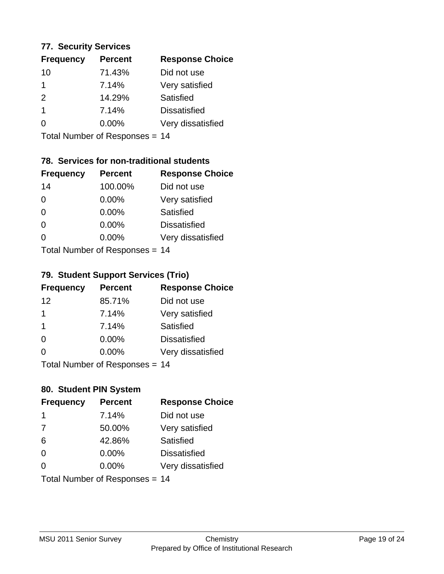### **77. Security Services**

| <b>Percent</b> | <b>Response Choice</b> |
|----------------|------------------------|
| 71.43%         | Did not use            |
| 7.14%          | Very satisfied         |
| 14.29%         | Satisfied              |
| 7.14%          | <b>Dissatisfied</b>    |
| $0.00\%$       | Very dissatisfied      |
|                |                        |

Total Number of Responses = 14

# **78. Services for non-traditional students**

| <b>Frequency</b>          | <b>Percent</b> | <b>Response Choice</b> |
|---------------------------|----------------|------------------------|
| 14                        | 100.00%        | Did not use            |
| 0                         | 0.00%          | Very satisfied         |
| $\Omega$                  | 0.00%          | <b>Satisfied</b>       |
| $\Omega$                  | 0.00%          | <b>Dissatisfied</b>    |
| ∩                         | 0.00%          | Very dissatisfied      |
| Total Number of DoEROR 0. |                |                        |

Total Number of Responses = 14

# **79. Student Support Services (Trio)**

| <b>Frequency</b> | <b>Percent</b>            | <b>Response Choice</b> |
|------------------|---------------------------|------------------------|
| 12               | 85.71%                    | Did not use            |
| 1                | 7.14%                     | Very satisfied         |
| $\overline{1}$   | 7.14%                     | Satisfied              |
| $\Omega$         | 0.00%                     | <b>Dissatisfied</b>    |
| $\Omega$         | 0.00%                     | Very dissatisfied      |
|                  | Total Number of Desponses |                        |

Total Number of Responses = 14

# **80. Student PIN System**

| <b>Frequency</b> | <b>Percent</b>                 | <b>Response Choice</b> |
|------------------|--------------------------------|------------------------|
| -1               | 7.14%                          | Did not use            |
| 7                | 50.00%                         | Very satisfied         |
| 6                | 42.86%                         | Satisfied              |
| $\Omega$         | $0.00\%$                       | <b>Dissatisfied</b>    |
| $\Omega$         | $0.00\%$                       | Very dissatisfied      |
|                  | Total Number of Responses = 14 |                        |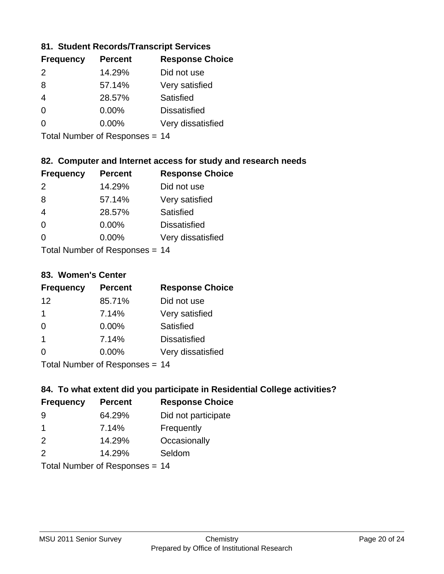### **81. Student Records/Transcript Services**

| <b>Frequency</b> | <b>Percent</b> | <b>Response Choice</b> |
|------------------|----------------|------------------------|
| $\mathcal{P}$    | 14.29%         | Did not use            |
| 8                | 57.14%         | Very satisfied         |
| 4                | 28.57%         | Satisfied              |
| $\Omega$         | 0.00%          | <b>Dissatisfied</b>    |
|                  | $0.00\%$       | Very dissatisfied      |

Total Number of Responses = 14

### **82. Computer and Internet access for study and research needs**

| <b>Frequency</b> | <b>Percent</b>             | <b>Response Choice</b> |
|------------------|----------------------------|------------------------|
| $\mathcal{P}$    | 14.29%                     | Did not use            |
| 8                | 57.14%                     | Very satisfied         |
| 4                | 28.57%                     | Satisfied              |
| $\Omega$         | 0.00%                      | <b>Dissatisfied</b>    |
| ∩                | 0.00%                      | Very dissatisfied      |
|                  | Total Number of Deepersoon |                        |

Total Number of Responses = 14

### **83. Women's Center**

| <b>Frequency</b> | <b>Percent</b> | <b>Response Choice</b> |
|------------------|----------------|------------------------|
| 12               | 85.71%         | Did not use            |
| 1                | 7.14%          | Very satisfied         |
| $\Omega$         | $0.00\%$       | <b>Satisfied</b>       |
| $\mathbf 1$      | 7.14%          | <b>Dissatisfied</b>    |
| $\Omega$         | 0.00%          | Very dissatisfied      |
|                  |                |                        |

Total Number of Responses = 14

### **84. To what extent did you participate in Residential College activities?**

| <b>Frequency</b> | <b>Percent</b>             | <b>Response Choice</b> |
|------------------|----------------------------|------------------------|
| 9                | 64.29%                     | Did not participate    |
| -1               | 7.14%                      | Frequently             |
| 2                | 14.29%                     | Occasionally           |
| $\mathcal{P}$    | 14.29%                     | Seldom                 |
|                  | Tatal Number of Desperance |                        |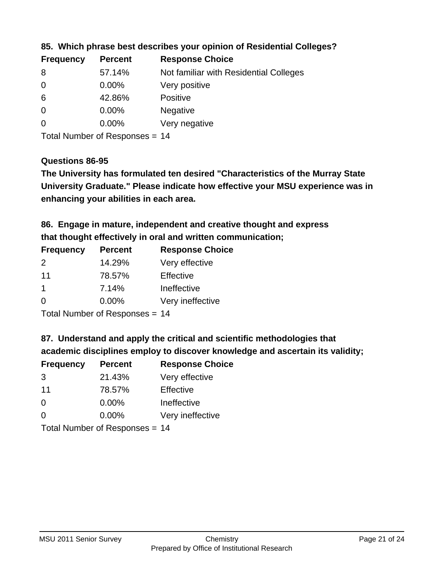| <b>Frequency</b> | <b>Percent</b> | <b>Response Choice</b>                 |
|------------------|----------------|----------------------------------------|
| 8                | 57.14%         | Not familiar with Residential Colleges |
| $\overline{0}$   | $0.00\%$       | Very positive                          |
| 6                | 42.86%         | <b>Positive</b>                        |
| $\overline{0}$   | $0.00\%$       | <b>Negative</b>                        |
| $\overline{0}$   | $0.00\%$       | Very negative                          |
|                  |                |                                        |

**85. Which phrase best describes your opinion of Residential Colleges?**

Total Number of Responses = 14

### **Questions 86-95**

**University Graduate." Please indicate how effective your MSU experience was in The University has formulated ten desired "Characteristics of the Murray State enhancing your abilities in each area.**

**86. Engage in mature, independent and creative thought and express that thought effectively in oral and written communication;**

| <b>Frequency</b> | <b>Percent</b> | <b>Response Choice</b> |
|------------------|----------------|------------------------|
| $\mathcal{P}$    | 14.29%         | Very effective         |
| 11               | 78.57%         | Effective              |
|                  | 7.14%          | Ineffective            |
| 0                | $0.00\%$       | Very ineffective       |

Total Number of Responses = 14

**87. Understand and apply the critical and scientific methodologies that** 

**academic disciplines employ to discover knowledge and ascertain its validity;**

| <b>Frequency</b> | <b>Percent</b> | <b>Response Choice</b> |
|------------------|----------------|------------------------|
| 3                | 21.43%         | Very effective         |
| 11               | 78.57%         | Effective              |
| $\Omega$         | 0.00%          | Ineffective            |
| $\Omega$         | 0.00%          | Very ineffective       |
|                  |                |                        |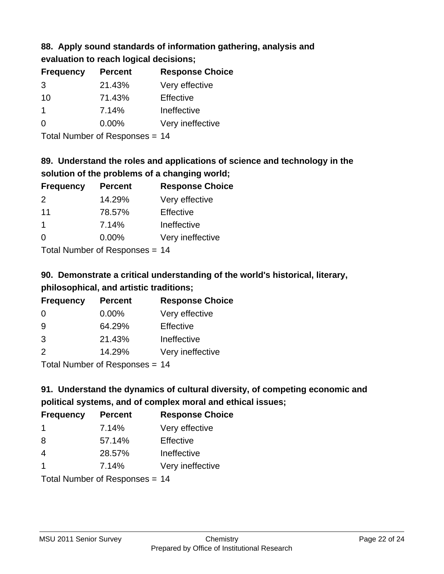# **88. Apply sound standards of information gathering, analysis and evaluation to reach logical decisions;**

| <b>Percent</b> | <b>Response Choice</b> |
|----------------|------------------------|
| 21.43%         | Very effective         |
| 71.43%         | Effective              |
| 7.14%          | Ineffective            |
| $0.00\%$       | Very ineffective       |
|                |                        |

Total Number of Responses = 14

# **89. Understand the roles and applications of science and technology in the solution of the problems of a changing world;**

| <b>Frequency</b> | <b>Percent</b> | <b>Response Choice</b> |
|------------------|----------------|------------------------|
| 2                | 14.29%         | Very effective         |
| 11               | 78.57%         | Effective              |
| -1               | 7.14%          | Ineffective            |
| $\Omega$         | 0.00%          | Very ineffective       |
|                  |                |                        |

Total Number of Responses = 14

# **90. Demonstrate a critical understanding of the world's historical, literary, philosophical, and artistic traditions;**

| <b>Frequency</b> | <b>Percent</b> | <b>Response Choice</b> |
|------------------|----------------|------------------------|
| $\Omega$         | 0.00%          | Very effective         |
| 9                | 64.29%         | Effective              |
| 3                | 21.43%         | Ineffective            |
| $\mathcal{P}$    | 14.29%         | Very ineffective       |
|                  |                |                        |

Total Number of Responses = 14

# **91. Understand the dynamics of cultural diversity, of competing economic and political systems, and of complex moral and ethical issues;**

| <b>Frequency</b>     | <b>Percent</b>                 | <b>Response Choice</b> |
|----------------------|--------------------------------|------------------------|
| $\mathbf 1$          | 7.14%                          | Very effective         |
| 8                    | 57.14%                         | Effective              |
| $\overline{4}$       | 28.57%                         | Ineffective            |
| $\blacktriangleleft$ | 7.14%                          | Very ineffective       |
|                      | Total Number of Responses = 14 |                        |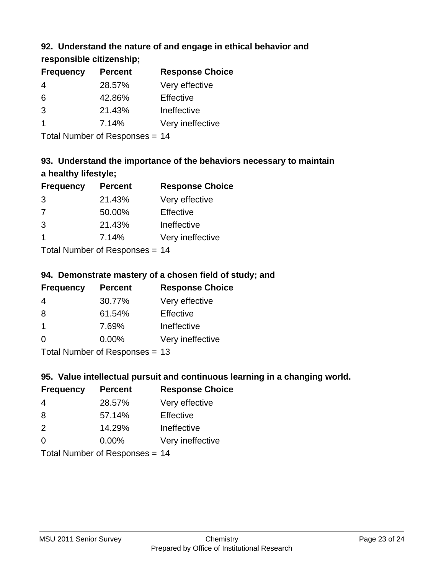# **92. Understand the nature of and engage in ethical behavior and**

**responsible citizenship;**

| <b>Frequency</b> | <b>Percent</b> | <b>Response Choice</b> |
|------------------|----------------|------------------------|
| 4                | 28.57%         | Very effective         |
| 6                | 42.86%         | Effective              |
| $\mathcal{B}$    | 21.43%         | Ineffective            |
|                  | 7.14%          | Very ineffective       |
|                  |                |                        |

Total Number of Responses = 14

# **93. Understand the importance of the behaviors necessary to maintain a healthy lifestyle;**

| <b>Frequency</b> | <b>Percent</b> | <b>Response Choice</b> |
|------------------|----------------|------------------------|
| 3                | 21.43%         | Very effective         |
| 7                | 50.00%         | Effective              |
| 3                | 21.43%         | Ineffective            |
| $\overline{1}$   | 7.14%          | Very ineffective       |
|                  |                |                        |

Total Number of Responses = 14

# **94. Demonstrate mastery of a chosen field of study; and**

| <b>Frequency</b> | <b>Percent</b> | <b>Response Choice</b> |
|------------------|----------------|------------------------|
| 4                | 30.77%         | Very effective         |
| 8                | 61.54%         | Effective              |
| $\overline{1}$   | 7.69%          | Ineffective            |
| $\Omega$         | 0.00%          | Very ineffective       |
|                  |                |                        |

Total Number of Responses = 13

# **95. Value intellectual pursuit and continuous learning in a changing world.**

| <b>Frequency</b> | <b>Percent</b> | <b>Response Choice</b> |
|------------------|----------------|------------------------|
| 4                | 28.57%         | Very effective         |
| 8                | 57.14%         | Effective              |
| 2                | 14.29%         | Ineffective            |
| $\Omega$         | 0.00%          | Very ineffective       |
|                  |                |                        |